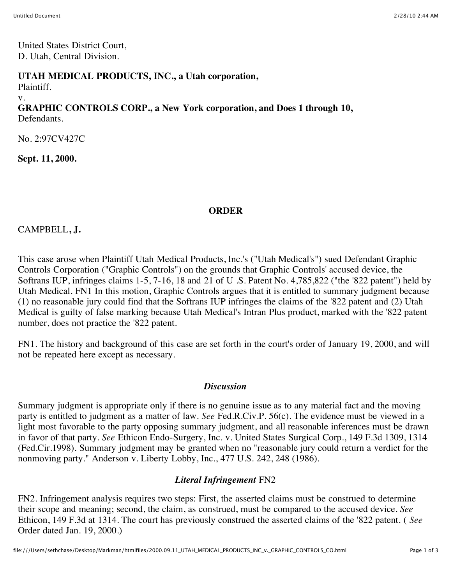United States District Court, D. Utah, Central Division.

#### **UTAH MEDICAL PRODUCTS, INC., a Utah corporation,**

Plaintiff.

v.

#### **GRAPHIC CONTROLS CORP., a New York corporation, and Does 1 through 10,** Defendants.

No. 2:97CV427C

**Sept. 11, 2000.**

# **ORDER**

CAMPBELL**, J.**

This case arose when Plaintiff Utah Medical Products, Inc.'s ("Utah Medical's") sued Defendant Graphic Controls Corporation ("Graphic Controls") on the grounds that Graphic Controls' accused device, the Softrans IUP, infringes claims 1-5, 7-16, 18 and 21 of U .S. Patent No. 4,785,822 ("the '822 patent") held by Utah Medical. FN1 In this motion, Graphic Controls argues that it is entitled to summary judgment because (1) no reasonable jury could find that the Softrans IUP infringes the claims of the '822 patent and (2) Utah Medical is guilty of false marking because Utah Medical's Intran Plus product, marked with the '822 patent number, does not practice the '822 patent.

FN1. The history and background of this case are set forth in the court's order of January 19, 2000, and will not be repeated here except as necessary.

## *Discussion*

Summary judgment is appropriate only if there is no genuine issue as to any material fact and the moving party is entitled to judgment as a matter of law. *See* Fed.R.Civ.P. 56(c). The evidence must be viewed in a light most favorable to the party opposing summary judgment, and all reasonable inferences must be drawn in favor of that party. *See* Ethicon Endo-Surgery, Inc. v. United States Surgical Corp., 149 F.3d 1309, 1314 (Fed.Cir.1998). Summary judgment may be granted when no "reasonable jury could return a verdict for the nonmoving party." Anderson v. Liberty Lobby, Inc., 477 U.S. 242, 248 (1986).

## *Literal Infringement* FN2

FN2. Infringement analysis requires two steps: First, the asserted claims must be construed to determine their scope and meaning; second, the claim, as construed, must be compared to the accused device. *See* Ethicon, 149 F.3d at 1314. The court has previously construed the asserted claims of the '822 patent. ( *See* Order dated Jan. 19, 2000.)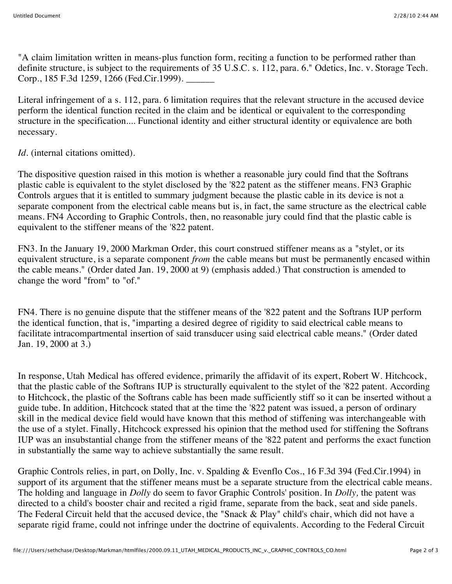"A claim limitation written in means-plus function form, reciting a function to be performed rather than definite structure, is subject to the requirements of 35 U.S.C. s. 112, para. 6." Odetics, Inc. v. Storage Tech. Corp., 185 F.3d 1259, 1266 (Fed.Cir.1999).

Literal infringement of a s. 112, para. 6 limitation requires that the relevant structure in the accused device perform the identical function recited in the claim and be identical or equivalent to the corresponding structure in the specification.... Functional identity and either structural identity or equivalence are both necessary.

## *Id.* (internal citations omitted).

The dispositive question raised in this motion is whether a reasonable jury could find that the Softrans plastic cable is equivalent to the stylet disclosed by the '822 patent as the stiffener means. FN3 Graphic Controls argues that it is entitled to summary judgment because the plastic cable in its device is not a separate component from the electrical cable means but is, in fact, the same structure as the electrical cable means. FN4 According to Graphic Controls, then, no reasonable jury could find that the plastic cable is equivalent to the stiffener means of the '822 patent.

FN3. In the January 19, 2000 Markman Order, this court construed stiffener means as a "stylet, or its equivalent structure, is a separate component *from* the cable means but must be permanently encased within the cable means." (Order dated Jan. 19, 2000 at 9) (emphasis added.) That construction is amended to change the word "from" to "of."

FN4. There is no genuine dispute that the stiffener means of the '822 patent and the Softrans IUP perform the identical function, that is, "imparting a desired degree of rigidity to said electrical cable means to facilitate intracompartmental insertion of said transducer using said electrical cable means." (Order dated Jan. 19, 2000 at 3.)

In response, Utah Medical has offered evidence, primarily the affidavit of its expert, Robert W. Hitchcock, that the plastic cable of the Softrans IUP is structurally equivalent to the stylet of the '822 patent. According to Hitchcock, the plastic of the Softrans cable has been made sufficiently stiff so it can be inserted without a guide tube. In addition, Hitchcock stated that at the time the '822 patent was issued, a person of ordinary skill in the medical device field would have known that this method of stiffening was interchangeable with the use of a stylet. Finally, Hitchcock expressed his opinion that the method used for stiffening the Softrans IUP was an insubstantial change from the stiffener means of the '822 patent and performs the exact function in substantially the same way to achieve substantially the same result.

Graphic Controls relies, in part, on Dolly, Inc. v. Spalding & Evenflo Cos., 16 F.3d 394 (Fed.Cir.1994) in support of its argument that the stiffener means must be a separate structure from the electrical cable means. The holding and language in *Dolly* do seem to favor Graphic Controls' position. In *Dolly,* the patent was directed to a child's booster chair and recited a rigid frame, separate from the back, seat and side panels. The Federal Circuit held that the accused device, the "Snack & Play" child's chair, which did not have a separate rigid frame, could not infringe under the doctrine of equivalents. According to the Federal Circuit